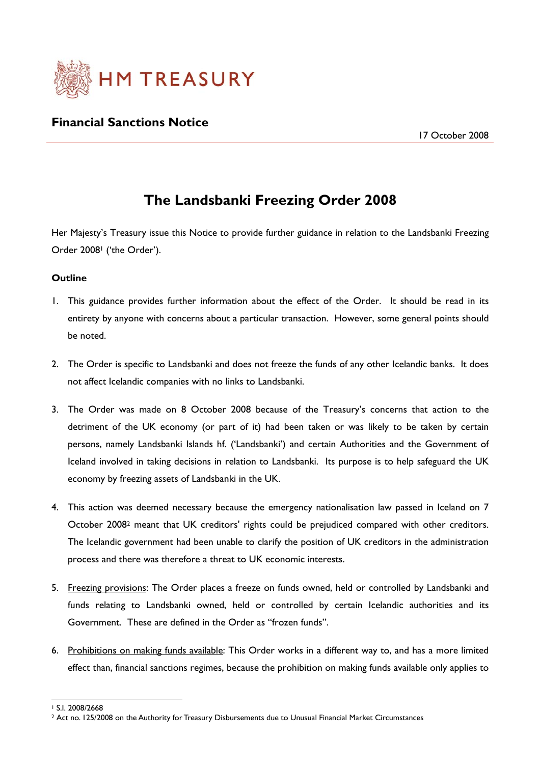

# **Financial Sanctions Notice**

# **The Landsbanki Freezing Order 2008**

Her Majesty's Treasury issue this Notice to provide further guidance in relation to the Landsbanki Freezing Order 2008<sup>1</sup> ('the Order').

#### **Outline**

- 1. This guidance provides further information about the effect of the Order. It should be read in its entirety by anyone with concerns about a particular transaction. However, some general points should be noted.
- 2. The Order is specific to Landsbanki and does not freeze the funds of any other Icelandic banks. It does not affect Icelandic companies with no links to Landsbanki.
- 3. The Order was made on 8 October 2008 because of the Treasury's concerns that action to the detriment of the UK economy (or part of it) had been taken or was likely to be taken by certain persons, namely Landsbanki Islands hf. ('Landsbanki') and certain Authorities and the Government of Iceland involved in taking decisions in relation to Landsbanki. Its purpose is to help safeguard the UK economy by freezing assets of Landsbanki in the UK.
- 4. This action was deemed necessary because the emergency nationalisation law passed in Iceland on 7 October 20082 meant that UK creditors' rights could be prejudiced compared with other creditors. The Icelandic government had been unable to clarify the position of UK creditors in the administration process and there was therefore a threat to UK economic interests.
- 5. Freezing provisions: The Order places a freeze on funds owned, held or controlled by Landsbanki and funds relating to Landsbanki owned, held or controlled by certain Icelandic authorities and its Government. These are defined in the Order as "frozen funds".
- 6. Prohibitions on making funds available: This Order works in a different way to, and has a more limited effect than, financial sanctions regimes, because the prohibition on making funds available only applies to

 $\overline{a}$ 1 S.I. 2008/2668

<sup>2</sup> Act no. 125/2008 on the Authority for Treasury Disbursements due to Unusual Financial Market Circumstances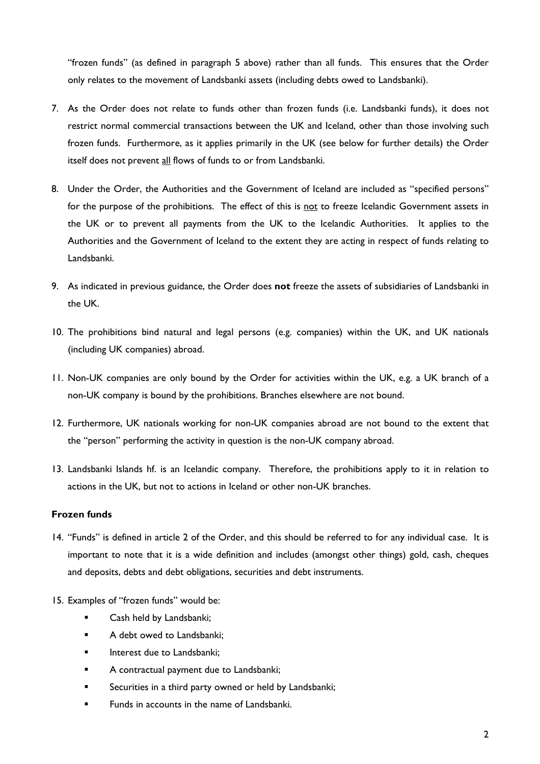"frozen funds" (as defined in paragraph 5 above) rather than all funds. This ensures that the Order only relates to the movement of Landsbanki assets (including debts owed to Landsbanki).

- 7. As the Order does not relate to funds other than frozen funds (i.e. Landsbanki funds), it does not restrict normal commercial transactions between the UK and Iceland, other than those involving such frozen funds. Furthermore, as it applies primarily in the UK (see below for further details) the Order itself does not prevent all flows of funds to or from Landsbanki.
- 8. Under the Order, the Authorities and the Government of Iceland are included as "specified persons" for the purpose of the prohibitions. The effect of this is not to freeze Icelandic Government assets in the UK or to prevent all payments from the UK to the Icelandic Authorities. It applies to the Authorities and the Government of Iceland to the extent they are acting in respect of funds relating to Landsbanki.
- 9. As indicated in previous guidance, the Order does **not** freeze the assets of subsidiaries of Landsbanki in the UK.
- 10. The prohibitions bind natural and legal persons (e.g. companies) within the UK, and UK nationals (including UK companies) abroad.
- 11. Non-UK companies are only bound by the Order for activities within the UK, e.g. a UK branch of a non-UK company is bound by the prohibitions. Branches elsewhere are not bound.
- 12. Furthermore, UK nationals working for non-UK companies abroad are not bound to the extent that the "person" performing the activity in question is the non-UK company abroad.
- 13. Landsbanki Islands hf. is an Icelandic company. Therefore, the prohibitions apply to it in relation to actions in the UK, but not to actions in Iceland or other non-UK branches.

## **Frozen funds**

- 14. "Funds" is defined in article 2 of the Order, and this should be referred to for any individual case. It is important to note that it is a wide definition and includes (amongst other things) gold, cash, cheques and deposits, debts and debt obligations, securities and debt instruments.
- 15. Examples of "frozen funds" would be:
	- Cash held by Landsbanki;
	- A debt owed to Landsbanki;
	- Interest due to Landsbanki;
	- **A** contractual payment due to Landsbanki;
	- **Securities in a third party owned or held by Landsbanki;**
	- Funds in accounts in the name of Landsbanki.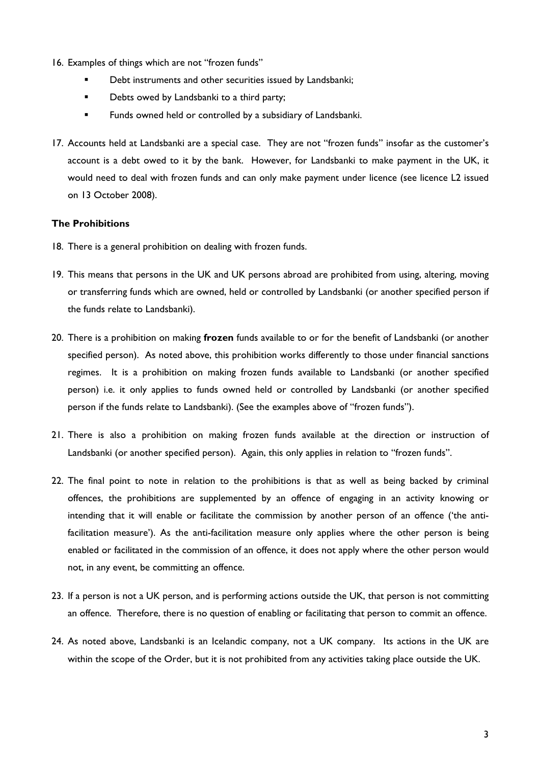- 16. Examples of things which are not "frozen funds"
	- Debt instruments and other securities issued by Landsbanki;
	- Debts owed by Landsbanki to a third party;
	- Funds owned held or controlled by a subsidiary of Landsbanki.
- 17. Accounts held at Landsbanki are a special case. They are not "frozen funds" insofar as the customer's account is a debt owed to it by the bank. However, for Landsbanki to make payment in the UK, it would need to deal with frozen funds and can only make payment under licence (see licence L2 issued on 13 October 2008).

#### **The Prohibitions**

- 18. There is a general prohibition on dealing with frozen funds.
- 19. This means that persons in the UK and UK persons abroad are prohibited from using, altering, moving or transferring funds which are owned, held or controlled by Landsbanki (or another specified person if the funds relate to Landsbanki).
- 20. There is a prohibition on making **frozen** funds available to or for the benefit of Landsbanki (or another specified person). As noted above, this prohibition works differently to those under financial sanctions regimes. It is a prohibition on making frozen funds available to Landsbanki (or another specified person) i.e. it only applies to funds owned held or controlled by Landsbanki (or another specified person if the funds relate to Landsbanki). (See the examples above of "frozen funds").
- 21. There is also a prohibition on making frozen funds available at the direction or instruction of Landsbanki (or another specified person). Again, this only applies in relation to "frozen funds".
- 22. The final point to note in relation to the prohibitions is that as well as being backed by criminal offences, the prohibitions are supplemented by an offence of engaging in an activity knowing or intending that it will enable or facilitate the commission by another person of an offence ('the antifacilitation measure'). As the anti-facilitation measure only applies where the other person is being enabled or facilitated in the commission of an offence, it does not apply where the other person would not, in any event, be committing an offence.
- 23. If a person is not a UK person, and is performing actions outside the UK, that person is not committing an offence. Therefore, there is no question of enabling or facilitating that person to commit an offence.
- 24. As noted above, Landsbanki is an Icelandic company, not a UK company. Its actions in the UK are within the scope of the Order, but it is not prohibited from any activities taking place outside the UK.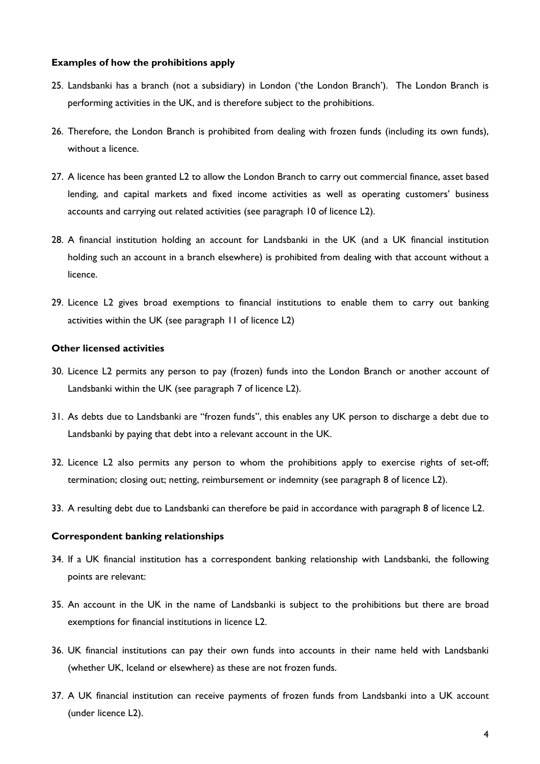#### **Examples of how the prohibitions apply**

- 25. Landsbanki has a branch (not a subsidiary) in London ('the London Branch'). The London Branch is performing activities in the UK, and is therefore subject to the prohibitions.
- 26. Therefore, the London Branch is prohibited from dealing with frozen funds (including its own funds), without a licence.
- 27. A licence has been granted L2 to allow the London Branch to carry out commercial finance, asset based lending, and capital markets and fixed income activities as well as operating customers' business accounts and carrying out related activities (see paragraph 10 of licence L2).
- 28. A financial institution holding an account for Landsbanki in the UK (and a UK financial institution holding such an account in a branch elsewhere) is prohibited from dealing with that account without a licence.
- 29. Licence L2 gives broad exemptions to financial institutions to enable them to carry out banking activities within the UK (see paragraph 11 of licence L2)

### **Other licensed activities**

- 30. Licence L2 permits any person to pay (frozen) funds into the London Branch or another account of Landsbanki within the UK (see paragraph 7 of licence L2).
- 31. As debts due to Landsbanki are "frozen funds", this enables any UK person to discharge a debt due to Landsbanki by paying that debt into a relevant account in the UK.
- 32. Licence L2 also permits any person to whom the prohibitions apply to exercise rights of set-off; termination; closing out; netting, reimbursement or indemnity (see paragraph 8 of licence L2).
- 33. A resulting debt due to Landsbanki can therefore be paid in accordance with paragraph 8 of licence L2.

#### **Correspondent banking relationships**

- 34. If a UK financial institution has a correspondent banking relationship with Landsbanki, the following points are relevant:
- 35. An account in the UK in the name of Landsbanki is subject to the prohibitions but there are broad exemptions for financial institutions in licence L2.
- 36. UK financial institutions can pay their own funds into accounts in their name held with Landsbanki (whether UK, Iceland or elsewhere) as these are not frozen funds.
- 37. A UK financial institution can receive payments of frozen funds from Landsbanki into a UK account (under licence L2).